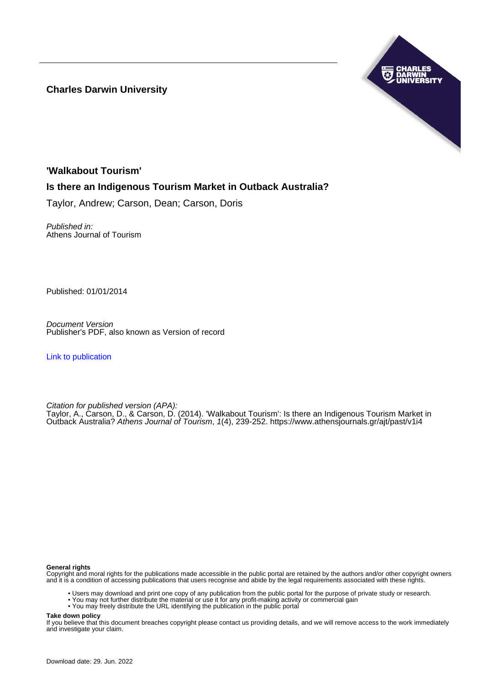**Charles Darwin University**



# **'Walkabout Tourism'**

# **Is there an Indigenous Tourism Market in Outback Australia?**

Taylor, Andrew; Carson, Dean; Carson, Doris

Published in: Athens Journal of Tourism

Published: 01/01/2014

Document Version Publisher's PDF, also known as Version of record

[Link to publication](https://researchers.cdu.edu.au/en/publications/ff2a5c8d-b6ce-4ab7-93da-77ca8509921b)

Citation for published version (APA):

Taylor, A., Carson, D., & Carson, D. (2014). 'Walkabout Tourism': Is there an Indigenous Tourism Market in Outback Australia? Athens Journal of Tourism, 1(4), 239-252.<https://www.athensjournals.gr/ajt/past/v1i4>

#### **General rights**

Copyright and moral rights for the publications made accessible in the public portal are retained by the authors and/or other copyright owners and it is a condition of accessing publications that users recognise and abide by the legal requirements associated with these rights.

- Users may download and print one copy of any publication from the public portal for the purpose of private study or research.
- You may not further distribute the material or use it for any profit-making activity or commercial gain
- You may freely distribute the URL identifying the publication in the public portal

**Take down policy**

If you believe that this document breaches copyright please contact us providing details, and we will remove access to the work immediately and investigate your claim.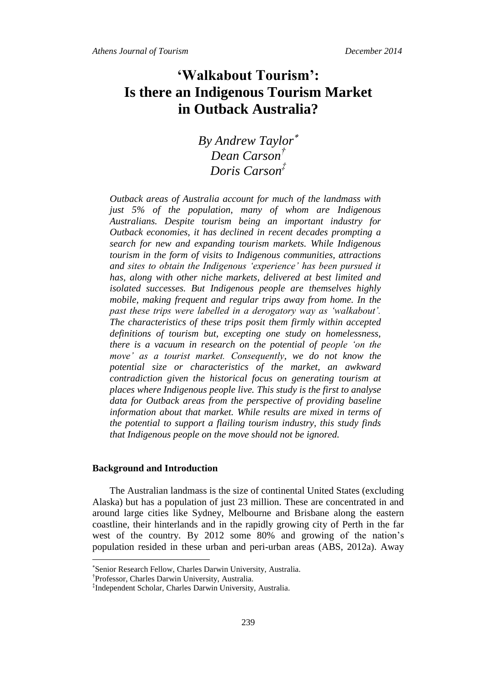# **'Walkabout Tourism': Is there an Indigenous Tourism Market in Outback Australia?**

*By Andrew Taylor Dean Carson† Doris Carson‡*

*Outback areas of Australia account for much of the landmass with just 5% of the population, many of whom are Indigenous Australians. Despite tourism being an important industry for Outback economies, it has declined in recent decades prompting a search for new and expanding tourism markets. While Indigenous tourism in the form of visits to Indigenous communities, attractions and sites to obtain the Indigenous 'experience' has been pursued it has, along with other niche markets, delivered at best limited and isolated successes. But Indigenous people are themselves highly mobile, making frequent and regular trips away from home. In the past these trips were labelled in a derogatory way as 'walkabout'. The characteristics of these trips posit them firmly within accepted definitions of tourism but, excepting one study on homelessness, there is a vacuum in research on the potential of people 'on the move' as a tourist market. Consequently, we do not know the potential size or characteristics of the market, an awkward contradiction given the historical focus on generating tourism at places where Indigenous people live. This study is the first to analyse data for Outback areas from the perspective of providing baseline*  information about that market. While results are mixed in terms of *the potential to support a flailing tourism industry, this study finds that Indigenous people on the move should not be ignored.*

# **Background and Introduction**

 $\overline{a}$ 

The Australian landmass is the size of continental United States (excluding Alaska) but has a population of just 23 million. These are concentrated in and around large cities like Sydney, Melbourne and Brisbane along the eastern coastline, their hinterlands and in the rapidly growing city of Perth in the far west of the country. By 2012 some 80% and growing of the nation's population resided in these urban and peri-urban areas (ABS, 2012a). Away

Senior Research Fellow, Charles Darwin University, Australia.

<sup>†</sup> Professor, Charles Darwin University, Australia.

<sup>‡</sup> Independent Scholar, Charles Darwin University, Australia.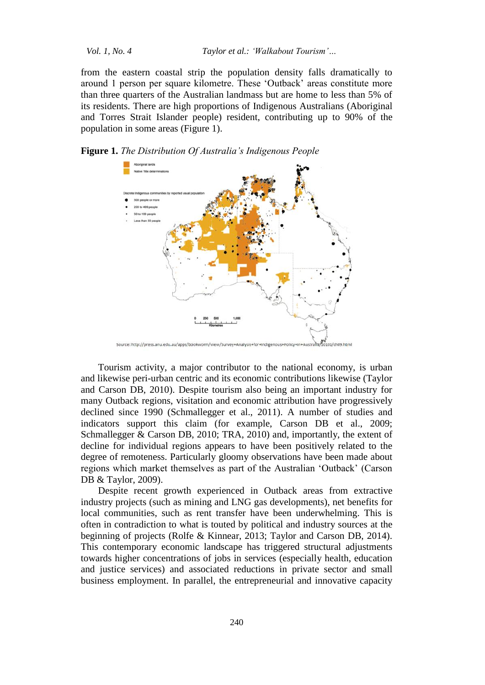from the eastern coastal strip the population density falls dramatically to around 1 person per square kilometre. These 'Outback' areas constitute more than three quarters of the Australian landmass but are home to less than 5% of its residents. There are high proportions of Indigenous Australians (Aboriginal and Torres Strait Islander people) resident, contributing up to 90% of the population in some areas (Figure 1).

**Figure 1.** *The Distribution Of Australia's Indigenous People*



Tourism activity, a major contributor to the national economy, is urban and likewise peri-urban centric and its economic contributions likewise (Taylor and Carson DB, 2010). Despite tourism also being an important industry for many Outback regions, visitation and economic attribution have progressively declined since 1990 (Schmallegger et al., 2011). A number of studies and indicators support this claim (for example, Carson DB et al., 2009; Schmallegger & Carson DB, 2010; TRA, 2010) and, importantly, the extent of decline for individual regions appears to have been positively related to the degree of remoteness. Particularly gloomy observations have been made about regions which market themselves as part of the Australian 'Outback' (Carson DB & Taylor, 2009).

Despite recent growth experienced in Outback areas from extractive industry projects (such as mining and LNG gas developments), net benefits for local communities, such as rent transfer have been underwhelming. This is often in contradiction to what is touted by political and industry sources at the beginning of projects (Rolfe & Kinnear, 2013; Taylor and Carson DB, 2014). This contemporary economic landscape has triggered structural adjustments towards higher concentrations of jobs in services (especially health, education and justice services) and associated reductions in private sector and small business employment. In parallel, the entrepreneurial and innovative capacity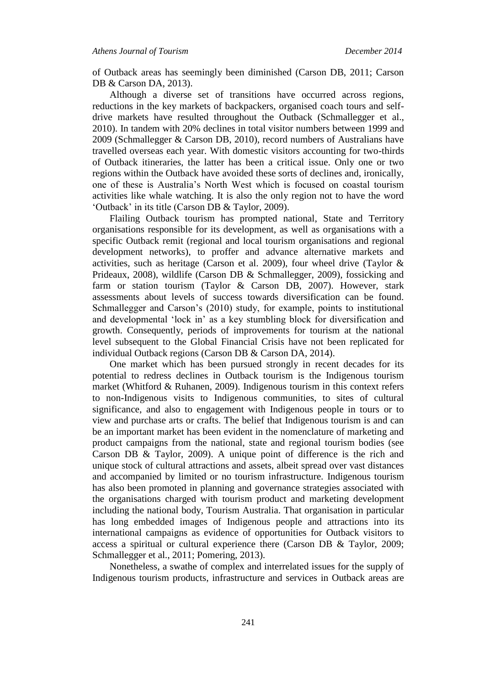of Outback areas has seemingly been diminished (Carson DB, 2011; Carson DB & Carson DA, 2013).

Although a diverse set of transitions have occurred across regions, reductions in the key markets of backpackers, organised coach tours and selfdrive markets have resulted throughout the Outback (Schmallegger et al., 2010). In tandem with 20% declines in total visitor numbers between 1999 and 2009 (Schmallegger & Carson DB, 2010), record numbers of Australians have travelled overseas each year. With domestic visitors accounting for two-thirds of Outback itineraries, the latter has been a critical issue. Only one or two regions within the Outback have avoided these sorts of declines and, ironically, one of these is Australia's North West which is focused on coastal tourism activities like whale watching. It is also the only region not to have the word 'Outback' in its title (Carson DB & Taylor, 2009).

Flailing Outback tourism has prompted national, State and Territory organisations responsible for its development, as well as organisations with a specific Outback remit (regional and local tourism organisations and regional development networks), to proffer and advance alternative markets and activities, such as heritage (Carson et al. 2009), four wheel drive (Taylor  $\&$ Prideaux, 2008), wildlife (Carson DB & Schmallegger, 2009), fossicking and farm or station tourism (Taylor & Carson DB, 2007). However, stark assessments about levels of success towards diversification can be found. Schmallegger and Carson's (2010) study, for example, points to institutional and developmental 'lock in' as a key stumbling block for diversification and growth. Consequently, periods of improvements for tourism at the national level subsequent to the Global Financial Crisis have not been replicated for individual Outback regions (Carson DB & Carson DA, 2014).

One market which has been pursued strongly in recent decades for its potential to redress declines in Outback tourism is the Indigenous tourism market (Whitford & Ruhanen, 2009). Indigenous tourism in this context refers to non-Indigenous visits to Indigenous communities, to sites of cultural significance, and also to engagement with Indigenous people in tours or to view and purchase arts or crafts. The belief that Indigenous tourism is and can be an important market has been evident in the nomenclature of marketing and product campaigns from the national, state and regional tourism bodies (see Carson DB & Taylor, 2009). A unique point of difference is the rich and unique stock of cultural attractions and assets, albeit spread over vast distances and accompanied by limited or no tourism infrastructure. Indigenous tourism has also been promoted in planning and governance strategies associated with the organisations charged with tourism product and marketing development including the national body, Tourism Australia. That organisation in particular has long embedded images of Indigenous people and attractions into its international campaigns as evidence of opportunities for Outback visitors to access a spiritual or cultural experience there (Carson DB & Taylor, 2009; Schmallegger et al., 2011; Pomering, 2013).

Nonetheless, a swathe of complex and interrelated issues for the supply of Indigenous tourism products, infrastructure and services in Outback areas are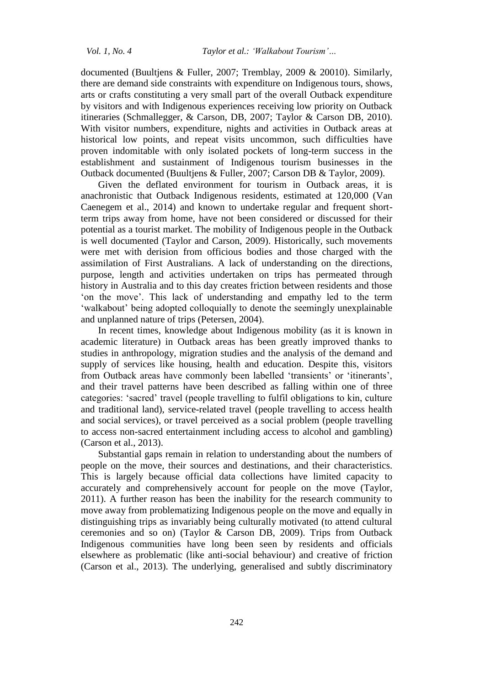documented (Buultjens & Fuller, 2007; Tremblay, 2009 & 20010). Similarly, there are demand side constraints with expenditure on Indigenous tours, shows, arts or crafts constituting a very small part of the overall Outback expenditure by visitors and with Indigenous experiences receiving low priority on Outback itineraries (Schmallegger, & Carson, DB, 2007; Taylor & Carson DB, 2010). With visitor numbers, expenditure, nights and activities in Outback areas at historical low points, and repeat visits uncommon, such difficulties have proven indomitable with only isolated pockets of long-term success in the establishment and sustainment of Indigenous tourism businesses in the Outback documented (Buultjens & Fuller, 2007; Carson DB & Taylor, 2009).

Given the deflated environment for tourism in Outback areas, it is anachronistic that Outback Indigenous residents, estimated at 120,000 (Van Caenegem et al., 2014) and known to undertake regular and frequent shortterm trips away from home, have not been considered or discussed for their potential as a tourist market. The mobility of Indigenous people in the Outback is well documented (Taylor and Carson, 2009). Historically, such movements were met with derision from officious bodies and those charged with the assimilation of First Australians. A lack of understanding on the directions, purpose, length and activities undertaken on trips has permeated through history in Australia and to this day creates friction between residents and those 'on the move'. This lack of understanding and empathy led to the term 'walkabout' being adopted colloquially to denote the seemingly unexplainable and unplanned nature of trips (Petersen, 2004).

In recent times, knowledge about Indigenous mobility (as it is known in academic literature) in Outback areas has been greatly improved thanks to studies in anthropology, migration studies and the analysis of the demand and supply of services like housing, health and education. Despite this, visitors from Outback areas have commonly been labelled 'transients' or 'itinerants', and their travel patterns have been described as falling within one of three categories: 'sacred' travel (people travelling to fulfil obligations to kin, culture and traditional land), service-related travel (people travelling to access health and social services), or travel perceived as a social problem (people travelling to access non-sacred entertainment including access to alcohol and gambling) (Carson et al., 2013).

Substantial gaps remain in relation to understanding about the numbers of people on the move, their sources and destinations, and their characteristics. This is largely because official data collections have limited capacity to accurately and comprehensively account for people on the move (Taylor, 2011). A further reason has been the inability for the research community to move away from problematizing Indigenous people on the move and equally in distinguishing trips as invariably being culturally motivated (to attend cultural ceremonies and so on) (Taylor & Carson DB, 2009). Trips from Outback Indigenous communities have long been seen by residents and officials elsewhere as problematic (like anti-social behaviour) and creative of friction (Carson et al., 2013). The underlying, generalised and subtly discriminatory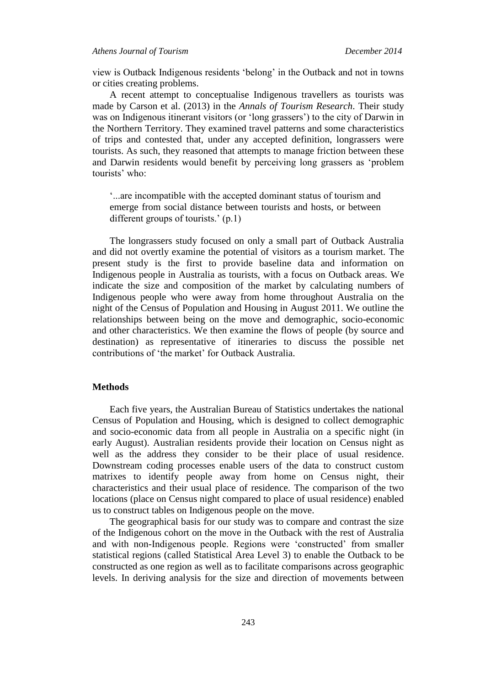# *Athens Journal of Tourism December 2014*

view is Outback Indigenous residents 'belong' in the Outback and not in towns or cities creating problems.

A recent attempt to conceptualise Indigenous travellers as tourists was made by Carson et al. (2013) in the *Annals of Tourism Research*. Their study was on Indigenous itinerant visitors (or 'long grassers') to the city of Darwin in the Northern Territory. They examined travel patterns and some characteristics of trips and contested that, under any accepted definition, longrassers were tourists. As such, they reasoned that attempts to manage friction between these and Darwin residents would benefit by perceiving long grassers as 'problem tourists' who:

'...are incompatible with the accepted dominant status of tourism and emerge from social distance between tourists and hosts, or between different groups of tourists.' (p.1)

The longrassers study focused on only a small part of Outback Australia and did not overtly examine the potential of visitors as a tourism market. The present study is the first to provide baseline data and information on Indigenous people in Australia as tourists, with a focus on Outback areas. We indicate the size and composition of the market by calculating numbers of Indigenous people who were away from home throughout Australia on the night of the Census of Population and Housing in August 2011. We outline the relationships between being on the move and demographic, socio-economic and other characteristics. We then examine the flows of people (by source and destination) as representative of itineraries to discuss the possible net contributions of 'the market' for Outback Australia.

# **Methods**

Each five years, the Australian Bureau of Statistics undertakes the national Census of Population and Housing, which is designed to collect demographic and socio-economic data from all people in Australia on a specific night (in early August). Australian residents provide their location on Census night as well as the address they consider to be their place of usual residence. Downstream coding processes enable users of the data to construct custom matrixes to identify people away from home on Census night, their characteristics and their usual place of residence. The comparison of the two locations (place on Census night compared to place of usual residence) enabled us to construct tables on Indigenous people on the move.

The geographical basis for our study was to compare and contrast the size of the Indigenous cohort on the move in the Outback with the rest of Australia and with non-Indigenous people. Regions were 'constructed' from smaller statistical regions (called Statistical Area Level 3) to enable the Outback to be constructed as one region as well as to facilitate comparisons across geographic levels. In deriving analysis for the size and direction of movements between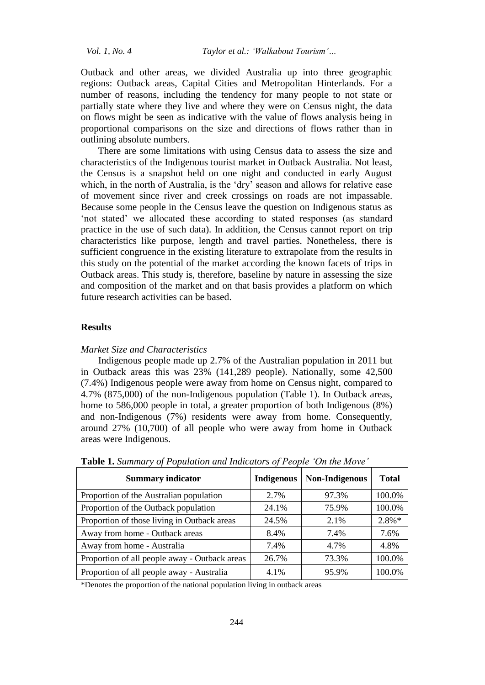Outback and other areas, we divided Australia up into three geographic regions: Outback areas, Capital Cities and Metropolitan Hinterlands. For a number of reasons, including the tendency for many people to not state or partially state where they live and where they were on Census night, the data on flows might be seen as indicative with the value of flows analysis being in proportional comparisons on the size and directions of flows rather than in outlining absolute numbers.

There are some limitations with using Census data to assess the size and characteristics of the Indigenous tourist market in Outback Australia. Not least, the Census is a snapshot held on one night and conducted in early August which, in the north of Australia, is the 'dry' season and allows for relative ease of movement since river and creek crossings on roads are not impassable. Because some people in the Census leave the question on Indigenous status as 'not stated' we allocated these according to stated responses (as standard practice in the use of such data). In addition, the Census cannot report on trip characteristics like purpose, length and travel parties. Nonetheless, there is sufficient congruence in the existing literature to extrapolate from the results in this study on the potential of the market according the known facets of trips in Outback areas. This study is, therefore, baseline by nature in assessing the size and composition of the market and on that basis provides a platform on which future research activities can be based.

# **Results**

#### *Market Size and Characteristics*

Indigenous people made up 2.7% of the Australian population in 2011 but in Outback areas this was 23% (141,289 people). Nationally, some 42,500 (7.4%) Indigenous people were away from home on Census night, compared to 4.7% (875,000) of the non-Indigenous population (Table 1). In Outback areas, home to 586,000 people in total, a greater proportion of both Indigenous (8%) and non-Indigenous (7%) residents were away from home. Consequently, around 27% (10,700) of all people who were away from home in Outback areas were Indigenous.

| <b>Summary indicator</b>                      | <b>Indigenous</b> | Non-Indigenous | <b>Total</b> |
|-----------------------------------------------|-------------------|----------------|--------------|
| Proportion of the Australian population       | 2.7%              | 97.3%          | 100.0%       |
| Proportion of the Outback population          | 24.1%             | 75.9%          | 100.0%       |
| Proportion of those living in Outback areas   | 24.5%             | 2.1%           | $2.8\%*$     |
| Away from home - Outback areas                | 8.4%              | 7.4%           | 7.6%         |
| Away from home - Australia                    | 7.4%              | 4.7%           | 4.8%         |
| Proportion of all people away - Outback areas | 26.7%             | 73.3%          | 100.0%       |
| Proportion of all people away - Australia     | 4.1%              | 95.9%          | 100.0%       |

**Table 1.** *Summary of Population and Indicators of People 'On the Move'*

\*Denotes the proportion of the national population living in outback areas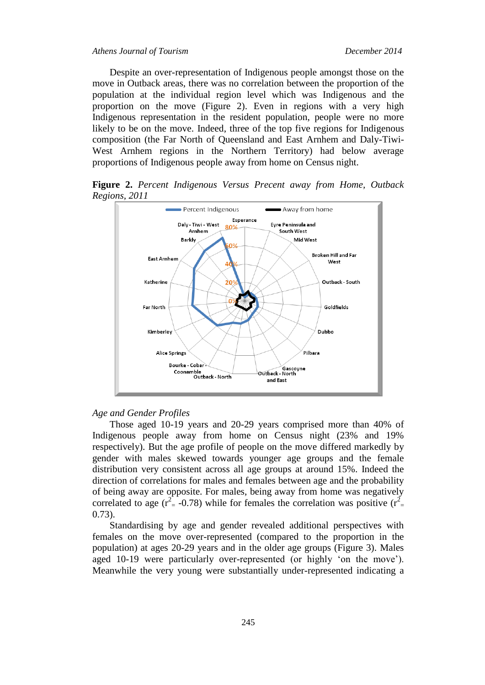# *Athens Journal of Tourism December 2014*

Despite an over-representation of Indigenous people amongst those on the move in Outback areas, there was no correlation between the proportion of the population at the individual region level which was Indigenous and the proportion on the move (Figure 2). Even in regions with a very high Indigenous representation in the resident population, people were no more likely to be on the move. Indeed, three of the top five regions for Indigenous composition (the Far North of Queensland and East Arnhem and Daly-Tiwi-West Arnhem regions in the Northern Territory) had below average proportions of Indigenous people away from home on Census night.

**Figure 2.** *Percent Indigenous Versus Precent away from Home, Outback Regions, 2011*



### *Age and Gender Profiles*

Those aged 10-19 years and 20-29 years comprised more than 40% of Indigenous people away from home on Census night (23% and 19% respectively). But the age profile of people on the move differed markedly by gender with males skewed towards younger age groups and the female distribution very consistent across all age groups at around 15%. Indeed the direction of correlations for males and females between age and the probability of being away are opposite. For males, being away from home was negatively correlated to age ( $r^2 = -0.78$ ) while for females the correlation was positive ( $r^2 =$ 0.73).

Standardising by age and gender revealed additional perspectives with females on the move over-represented (compared to the proportion in the population) at ages 20-29 years and in the older age groups (Figure 3). Males aged 10-19 were particularly over-represented (or highly 'on the move'). Meanwhile the very young were substantially under-represented indicating a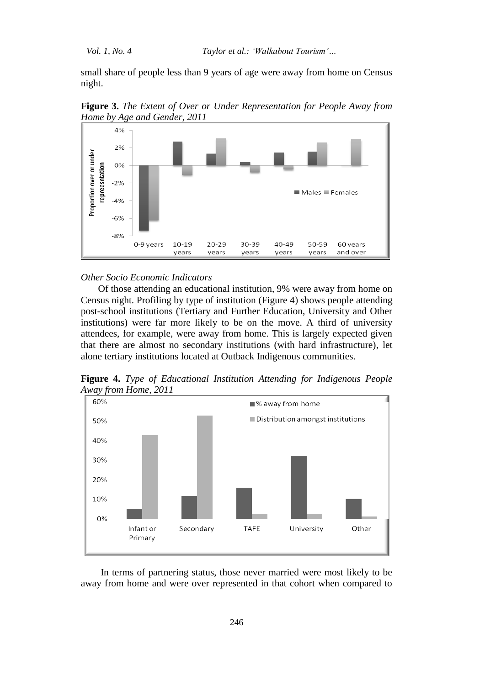small share of people less than 9 years of age were away from home on Census night.



**Figure 3.** *The Extent of Over or Under Representation for People Away from Home by Age and Gender, 2011*

#### *Other Socio Economic Indicators*

Of those attending an educational institution, 9% were away from home on Census night. Profiling by type of institution (Figure 4) shows people attending post-school institutions (Tertiary and Further Education, University and Other institutions) were far more likely to be on the move. A third of university attendees, for example, were away from home. This is largely expected given that there are almost no secondary institutions (with hard infrastructure), let alone tertiary institutions located at Outback Indigenous communities.

**Figure 4.** *Type of Educational Institution Attending for Indigenous People Away from Home, 2011*



In terms of partnering status, those never married were most likely to be away from home and were over represented in that cohort when compared to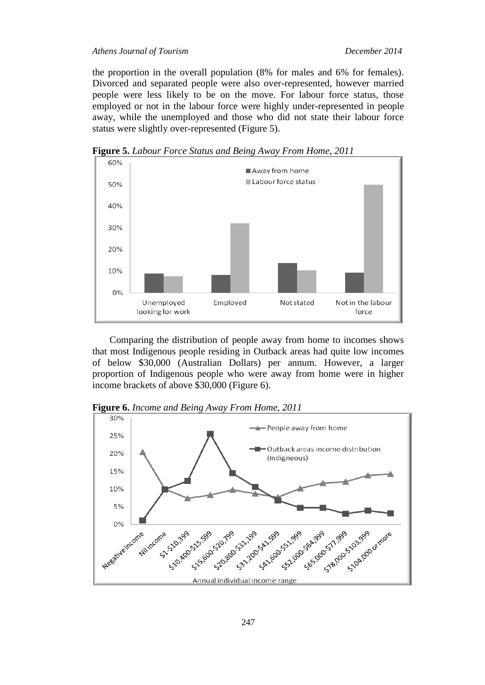the proportion in the overall population (8% for males and 6% for females). Divorced and separated people were also over-represented, however married people were less likely to be on the move. For labour force status, those employed or not in the labour force were highly under-represented in people away, while the unemployed and those who did not state their labour force status were slightly over-represented (Figure 5).

**Figure 5.** *Labour Force Status and Being Away From Home, 2011*



Comparing the distribution of people away from home to incomes shows that most Indigenous people residing in Outback areas had quite low incomes of below \$30,000 (Australian Dollars) per annum. However, a larger proportion of Indigenous people who were away from home were in higher income brackets of above \$30,000 (Figure 6).

30% People away from home 25% Outback areas income distribution 20% (Indigneous) 15% 10% 5% 0% **4411-1999** 520199 531.29 1331.1992 43.99 Negative income ome Hilincome 551-90 - 54.99 - 17.99 - 50.99 - 17.99 Ame 50.399 55% 520.79% Annual individual income range

**Figure 6.** *Income and Being Away From Home, 2011*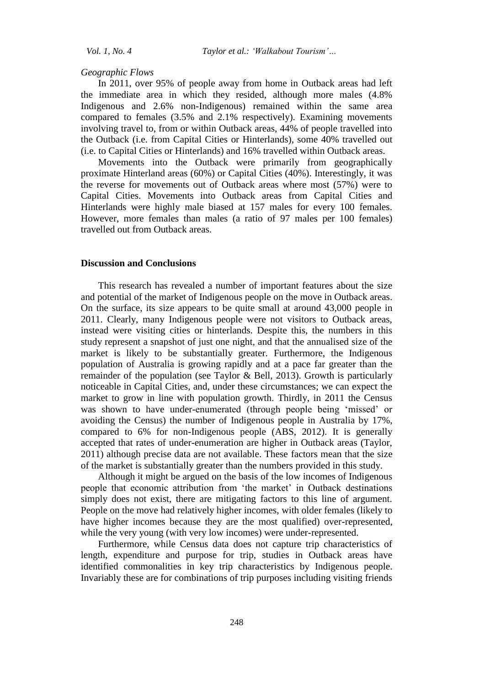#### *Geographic Flows*

In 2011, over 95% of people away from home in Outback areas had left the immediate area in which they resided, although more males (4.8% Indigenous and 2.6% non-Indigenous) remained within the same area compared to females (3.5% and 2.1% respectively). Examining movements involving travel to, from or within Outback areas, 44% of people travelled into the Outback (i.e. from Capital Cities or Hinterlands), some 40% travelled out (i.e. to Capital Cities or Hinterlands) and 16% travelled within Outback areas.

Movements into the Outback were primarily from geographically proximate Hinterland areas (60%) or Capital Cities (40%). Interestingly, it was the reverse for movements out of Outback areas where most (57%) were to Capital Cities. Movements into Outback areas from Capital Cities and Hinterlands were highly male biased at 157 males for every 100 females. However, more females than males (a ratio of 97 males per 100 females) travelled out from Outback areas.

# **Discussion and Conclusions**

This research has revealed a number of important features about the size and potential of the market of Indigenous people on the move in Outback areas. On the surface, its size appears to be quite small at around 43,000 people in 2011. Clearly, many Indigenous people were not visitors to Outback areas, instead were visiting cities or hinterlands. Despite this, the numbers in this study represent a snapshot of just one night, and that the annualised size of the market is likely to be substantially greater. Furthermore, the Indigenous population of Australia is growing rapidly and at a pace far greater than the remainder of the population (see Taylor & Bell, 2013). Growth is particularly noticeable in Capital Cities, and, under these circumstances; we can expect the market to grow in line with population growth. Thirdly, in 2011 the Census was shown to have under-enumerated (through people being 'missed' or avoiding the Census) the number of Indigenous people in Australia by 17%, compared to 6% for non-Indigenous people (ABS, 2012). It is generally accepted that rates of under-enumeration are higher in Outback areas (Taylor, 2011) although precise data are not available. These factors mean that the size of the market is substantially greater than the numbers provided in this study.

Although it might be argued on the basis of the low incomes of Indigenous people that economic attribution from 'the market' in Outback destinations simply does not exist, there are mitigating factors to this line of argument. People on the move had relatively higher incomes, with older females (likely to have higher incomes because they are the most qualified) over-represented, while the very young (with very low incomes) were under-represented.

Furthermore, while Census data does not capture trip characteristics of length, expenditure and purpose for trip, studies in Outback areas have identified commonalities in key trip characteristics by Indigenous people. Invariably these are for combinations of trip purposes including visiting friends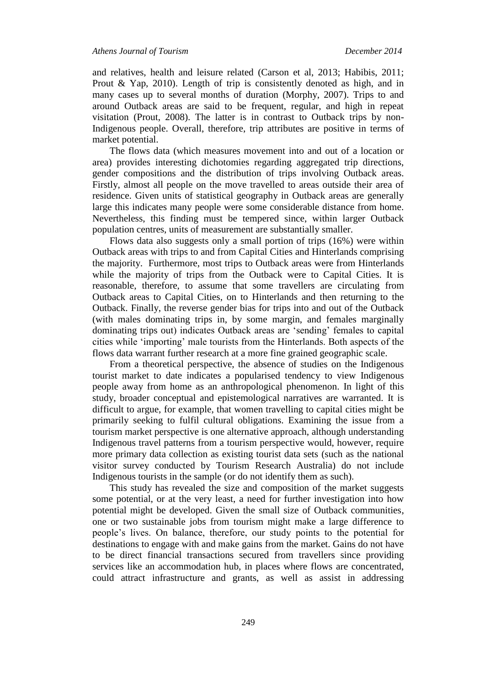and relatives, health and leisure related (Carson et al, 2013; Habibis, 2011; Prout & Yap, 2010). Length of trip is consistently denoted as high, and in many cases up to several months of duration (Morphy, 2007). Trips to and around Outback areas are said to be frequent, regular, and high in repeat visitation (Prout, 2008). The latter is in contrast to Outback trips by non-Indigenous people. Overall, therefore, trip attributes are positive in terms of market potential.

The flows data (which measures movement into and out of a location or area) provides interesting dichotomies regarding aggregated trip directions, gender compositions and the distribution of trips involving Outback areas. Firstly, almost all people on the move travelled to areas outside their area of residence. Given units of statistical geography in Outback areas are generally large this indicates many people were some considerable distance from home. Nevertheless, this finding must be tempered since, within larger Outback population centres, units of measurement are substantially smaller.

Flows data also suggests only a small portion of trips (16%) were within Outback areas with trips to and from Capital Cities and Hinterlands comprising the majority. Furthermore, most trips to Outback areas were from Hinterlands while the majority of trips from the Outback were to Capital Cities. It is reasonable, therefore, to assume that some travellers are circulating from Outback areas to Capital Cities, on to Hinterlands and then returning to the Outback. Finally, the reverse gender bias for trips into and out of the Outback (with males dominating trips in, by some margin, and females marginally dominating trips out) indicates Outback areas are 'sending' females to capital cities while 'importing' male tourists from the Hinterlands. Both aspects of the flows data warrant further research at a more fine grained geographic scale.

From a theoretical perspective, the absence of studies on the Indigenous tourist market to date indicates a popularised tendency to view Indigenous people away from home as an anthropological phenomenon. In light of this study, broader conceptual and epistemological narratives are warranted. It is difficult to argue, for example, that women travelling to capital cities might be primarily seeking to fulfil cultural obligations. Examining the issue from a tourism market perspective is one alternative approach, although understanding Indigenous travel patterns from a tourism perspective would, however, require more primary data collection as existing tourist data sets (such as the national visitor survey conducted by Tourism Research Australia) do not include Indigenous tourists in the sample (or do not identify them as such).

This study has revealed the size and composition of the market suggests some potential, or at the very least, a need for further investigation into how potential might be developed. Given the small size of Outback communities, one or two sustainable jobs from tourism might make a large difference to people's lives. On balance, therefore, our study points to the potential for destinations to engage with and make gains from the market. Gains do not have to be direct financial transactions secured from travellers since providing services like an accommodation hub, in places where flows are concentrated, could attract infrastructure and grants, as well as assist in addressing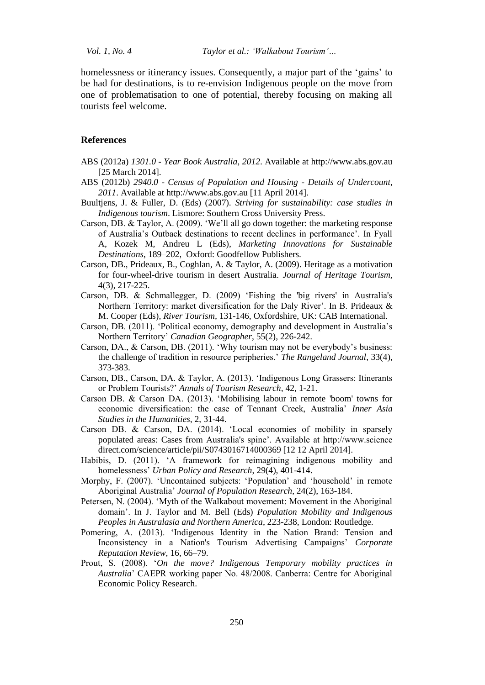homelessness or itinerancy issues. Consequently, a major part of the 'gains' to be had for destinations, is to re-envision Indigenous people on the move from one of problematisation to one of potential, thereby focusing on making all tourists feel welcome.

### **References**

- ABS (2012a) *1301.0 - Year Book Australia, 2012*. Available at http://www.abs.gov.au [25 March 2014].
- ABS (2012b) *2940.0 - Census of Population and Housing - Details of Undercount, 2011*. Available at http://www.abs.gov.au [11 April 2014].
- Buultjens, J. & Fuller, D. (Eds) (2007). *Striving for sustainability: case studies in Indigenous tourism*. Lismore: Southern Cross University Press.
- Carson, DB. & Taylor, A. (2009). 'We'll all go down together: the marketing response of Australia's Outback destinations to recent declines in performance'. In Fyall A, Kozek M, Andreu L (Eds), *Marketing Innovations for Sustainable Destinations*, 189–202, Oxford: Goodfellow Publishers.
- Carson, DB., Prideaux, B., Coghlan, A. & Taylor, A. (2009). Heritage as a motivation for four-wheel-drive tourism in desert Australia. *Journal of Heritage Tourism*, 4(3), 217-225.
- Carson, DB. & Schmallegger, D. (2009) 'Fishing the 'big rivers' in Australia's Northern Territory: market diversification for the Daly River'. In B. Prideaux & M. Cooper (Eds), *River Tourism,* 131-146, Oxfordshire, UK: CAB International.
- Carson, DB. (2011). 'Political economy, demography and development in Australia's Northern Territory' *Canadian Geographer*, 55(2), 226-242.
- Carson, DA., & Carson, DB. (2011). 'Why tourism may not be everybody's business: the challenge of tradition in resource peripheries.' *The Rangeland Journal*, 33(4), 373-383.
- Carson, DB., Carson, DA. & Taylor, A. (2013). 'Indigenous Long Grassers: Itinerants or Problem Tourists?' *Annals of Tourism Research*, 42, 1-21.
- Carson DB. & Carson DA. (2013). 'Mobilising labour in remote 'boom' towns for economic diversification: the case of Tennant Creek, Australia' *Inner Asia Studies in the Humanities*, 2, 31-44.
- Carson DB. & Carson, DA. (2014). 'Local economies of mobility in sparsely populated areas: Cases from Australia's spine'. Available at http://www.science direct.com/science/article/pii/S0743016714000369 [12 12 April 2014].
- Habibis, D. (2011). 'A framework for reimagining indigenous mobility and homelessness' *Urban Policy and Research*, 29(4), 401-414.
- Morphy, F. (2007). 'Uncontained subjects: 'Population' and 'household' in remote Aboriginal Australia' *Journal of Population Research*, 24(2), 163-184.
- Petersen, N. (2004). 'Myth of the Walkabout movement: Movement in the Aboriginal domain'. In J. Taylor and M. Bell (Eds) *Population Mobility and Indigenous Peoples in Australasia and Northern America*, 223-238, London: Routledge.
- Pomering, A. (2013). 'Indigenous Identity in the Nation Brand: Tension and Inconsistency in a Nation's Tourism Advertising Campaigns' *Corporate Reputation Review*, 16, 66–79.
- Prout, S. (2008). '*On the move? Indigenous Temporary mobility practices in Australia*' CAEPR working paper No. 48/2008. Canberra: Centre for Aboriginal Economic Policy Research.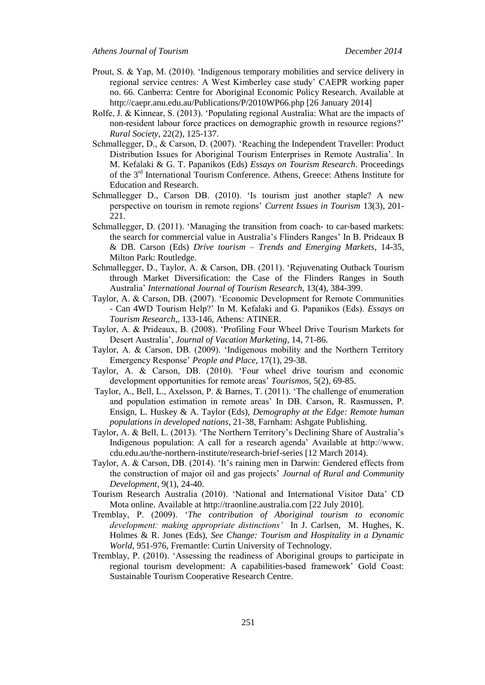- Prout, S. & Yap, M. (2010). 'Indigenous temporary mobilities and service delivery in regional service centres: A West Kimberley case study' CAEPR working paper no. 66. Canberra: Centre for Aboriginal Economic Policy Research. Available at http://caepr.anu.edu.au/Publications/P/2010WP66.php [26 January 2014]
- Rolfe, J. & Kinnear, S. (2013). 'Populating regional Australia: What are the impacts of non-resident labour force practices on demographic growth in resource regions?' *Rural Society*, 22(2), 125-137.
- Schmallegger, D., & Carson, D. (2007). 'Reaching the Independent Traveller: Product Distribution Issues for Aboriginal Tourism Enterprises in Remote Australia'. In M. Kefalaki & G. T. Papanikos (Eds) *Essays on Tourism Research*. Proceedings of the 3<sup>rd</sup> International Tourism Conference. Athens, Greece: Athens Institute for Education and Research.
- Schmallegger D., Carson DB. (2010). 'Is tourism just another staple? A new perspective on tourism in remote regions' *Current Issues in Tourism* 13(3), 201- 221.
- Schmallegger, D. (2011). 'Managing the transition from coach- to car-based markets: the search for commercial value in Australia's Flinders Ranges' In B. Prideaux B & DB. Carson (Eds) *Drive tourism – Trends and Emerging Markets*, 14-35, Milton Park: Routledge.
- Schmallegger, D., Taylor, A. & Carson, DB. (2011). 'Rejuvenating Outback Tourism through Market Diversification: the Case of the Flinders Ranges in South Australia' *International Journal of Tourism Research*, 13(4), 384-399.
- Taylor, A. & Carson, DB. (2007). 'Economic Development for Remote Communities - Can 4WD Tourism Help?' In M. Kefalaki and G. Papanikos (Eds). *Essays on Tourism Research*,, 133-146, Athens: ATINER.
- Taylor, A. & Prideaux, B. (2008). 'Profiling Four Wheel Drive Tourism Markets for Desert Australia', *Journal of Vacation Marketing*, 14, 71-86.
- Taylor, A. & Carson, DB. (2009). 'Indigenous mobility and the Northern Territory Emergency Response' *People and Place*, 17(1), 29-38.
- Taylor, A. & Carson, DB. (2010). 'Four wheel drive tourism and economic development opportunities for remote areas' *Tourismos*, 5(2), 69-85.
- Taylor, A., Bell, L., Axelsson, P. & Barnes, T. (2011). 'The challenge of enumeration and population estimation in remote areas' In DB. Carson, R. Rasmussen, P. Ensign, L. Huskey & A. Taylor (Eds), *Demography at the Edge: Remote human populations in developed nations*, 21-38, Farnham: Ashgate Publishing.
- Taylor, A. & Bell, L. (2013). 'The Northern Territory's Declining Share of Australia's Indigenous population: A call for a research agenda' Available at http://www. cdu.edu.au/the-northern-institute/research-brief-series [12 March 2014).
- Taylor, A. & Carson, DB. (2014). 'It's raining men in Darwin: Gendered effects from the construction of major oil and gas projects' *Journal of Rural and Community Development*, 9(1), 24-40.
- Tourism Research Australia (2010). 'National and International Visitor Data' CD Mota online. Available at http://traonline.australia.com [22 July 2010].
- Tremblay, P. (2009). '*The contribution of Aboriginal tourism to economic development: making appropriate distinctions'* In J. Carlsen, M. Hughes, K. Holmes & R. Jones (Eds), *See Change: Tourism and Hospitality in a Dynamic World*, 951-976, Fremantle: Curtin University of Technology.
- Tremblay, P. (2010). 'Assessing the readiness of Aboriginal groups to participate in regional tourism development: A capabilities-based framework' Gold Coast: Sustainable Tourism Cooperative Research Centre.